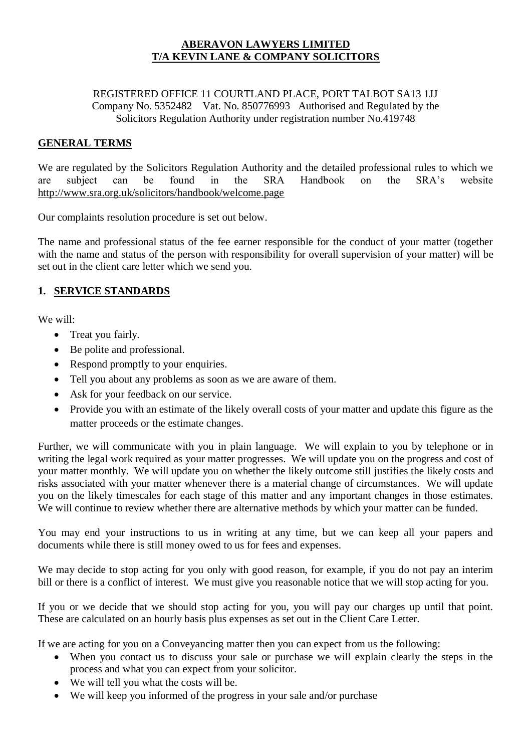## **ABERAVON LAWYERS LIMITED T/A KEVIN LANE & COMPANY SOLICITORS**

#### REGISTERED OFFICE 11 COURTLAND PLACE, PORT TALBOT SA13 1JJ Company No. 5352482 Vat. No. 850776993 Authorised and Regulated by the Solicitors Regulation Authority under registration number No.419748

## **GENERAL TERMS**

We are regulated by the Solicitors Regulation Authority and the detailed professional rules to which we are subject can be found in the SRA Handbook on the SRA's website <http://www.sra.org.uk/solicitors/handbook/welcome.page>

Our complaints resolution procedure is set out below.

The name and professional status of the fee earner responsible for the conduct of your matter (together with the name and status of the person with responsibility for overall supervision of your matter) will be set out in the client care letter which we send you.

## **1. SERVICE STANDARDS**

We will:

- Treat you fairly.
- Be polite and professional.
- Respond promptly to your enquiries.
- Tell you about any problems as soon as we are aware of them.
- Ask for your feedback on our service.
- Provide you with an estimate of the likely overall costs of your matter and update this figure as the matter proceeds or the estimate changes.

Further, we will communicate with you in plain language. We will explain to you by telephone or in writing the legal work required as your matter progresses. We will update you on the progress and cost of your matter monthly. We will update you on whether the likely outcome still justifies the likely costs and risks associated with your matter whenever there is a material change of circumstances. We will update you on the likely timescales for each stage of this matter and any important changes in those estimates. We will continue to review whether there are alternative methods by which your matter can be funded.

You may end your instructions to us in writing at any time, but we can keep all your papers and documents while there is still money owed to us for fees and expenses.

We may decide to stop acting for you only with good reason, for example, if you do not pay an interim bill or there is a conflict of interest. We must give you reasonable notice that we will stop acting for you.

If you or we decide that we should stop acting for you, you will pay our charges up until that point. These are calculated on an hourly basis plus expenses as set out in the Client Care Letter.

If we are acting for you on a Conveyancing matter then you can expect from us the following:

- When you contact us to discuss your sale or purchase we will explain clearly the steps in the process and what you can expect from your solicitor.
- We will tell you what the costs will be.
- We will keep you informed of the progress in your sale and/or purchase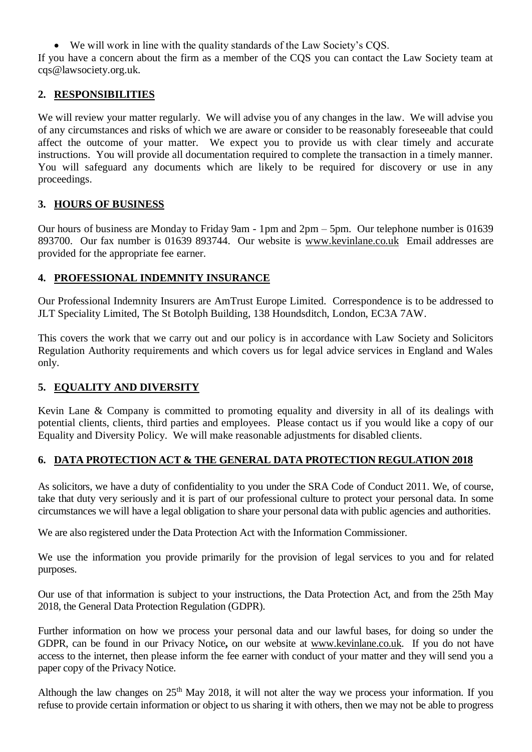• We will work in line with the quality standards of the Law Society's COS. If you have a concern about the firm as a member of the CQS you can contact the Law Society team at cqs@lawsociety.org.uk.

## **2. RESPONSIBILITIES**

We will review your matter regularly. We will advise you of any changes in the law. We will advise you of any circumstances and risks of which we are aware or consider to be reasonably foreseeable that could affect the outcome of your matter. We expect you to provide us with clear timely and accurate instructions. You will provide all documentation required to complete the transaction in a timely manner. You will safeguard any documents which are likely to be required for discovery or use in any proceedings.

## **3. HOURS OF BUSINESS**

Our hours of business are Monday to Friday 9am - 1pm and 2pm – 5pm. Our telephone number is 01639 893700. Our fax number is 01639 893744. Our website is [www.kevinlane.co.uk](http://www.kevinlane.co.uk/) Email addresses are provided for the appropriate fee earner.

## **4. PROFESSIONAL INDEMNITY INSURANCE**

Our Professional Indemnity Insurers are AmTrust Europe Limited. Correspondence is to be addressed to JLT Speciality Limited, The St Botolph Building, 138 Houndsditch, London, EC3A 7AW.

This covers the work that we carry out and our policy is in accordance with Law Society and Solicitors Regulation Authority requirements and which covers us for legal advice services in England and Wales only.

## **5. EQUALITY AND DIVERSITY**

Kevin Lane & Company is committed to promoting equality and diversity in all of its dealings with potential clients, clients, third parties and employees. Please contact us if you would like a copy of our Equality and Diversity Policy. We will make reasonable adjustments for disabled clients.

## **6. DATA PROTECTION ACT & THE GENERAL DATA PROTECTION REGULATION 2018**

As solicitors, we have a duty of confidentiality to you under the SRA Code of Conduct 2011. We, of course, take that duty very seriously and it is part of our professional culture to protect your personal data. In some circumstances we will have a legal obligation to share your personal data with public agencies and authorities.

We are also registered under the Data Protection Act with the Information Commissioner.

We use the information you provide primarily for the provision of legal services to you and for related purposes.

Our use of that information is subject to your instructions, the Data Protection Act, and from the 25th May 2018, the General Data Protection Regulation (GDPR).

Further information on how we process your personal data and our lawful bases, for doing so under the GDPR, can be found in our Privacy Notice**,** on our website at [www.kevinlane.co.uk.](http://www.kevinlane.co.uk/) If you do not have access to the internet, then please inform the fee earner with conduct of your matter and they will send you a paper copy of the Privacy Notice.

Although the law changes on  $25<sup>th</sup>$  May 2018, it will not alter the way we process your information. If you refuse to provide certain information or object to us sharing it with others, then we may not be able to progress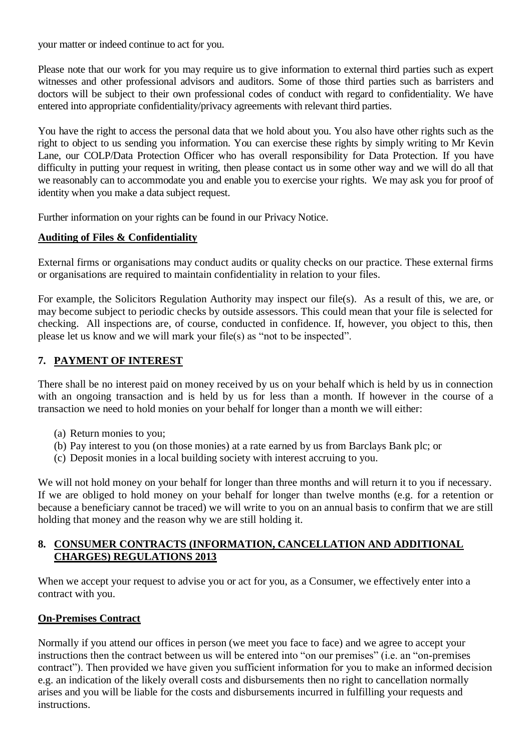your matter or indeed continue to act for you.

Please note that our work for you may require us to give information to external third parties such as expert witnesses and other professional advisors and auditors. Some of those third parties such as barristers and doctors will be subject to their own professional codes of conduct with regard to confidentiality. We have entered into appropriate confidentiality/privacy agreements with relevant third parties.

You have the right to access the personal data that we hold about you. You also have other rights such as the right to object to us sending you information. You can exercise these rights by simply writing to Mr Kevin Lane, our COLP/Data Protection Officer who has overall responsibility for Data Protection. If you have difficulty in putting your request in writing, then please contact us in some other way and we will do all that we reasonably can to accommodate you and enable you to exercise your rights. We may ask you for proof of identity when you make a data subject request.

Further information on your rights can be found in our Privacy Notice.

## **Auditing of Files & Confidentiality**

External firms or organisations may conduct audits or quality checks on our practice. These external firms or organisations are required to maintain confidentiality in relation to your files.

For example, the Solicitors Regulation Authority may inspect our file(s). As a result of this, we are, or may become subject to periodic checks by outside assessors. This could mean that your file is selected for checking. All inspections are, of course, conducted in confidence. If, however, you object to this, then please let us know and we will mark your file(s) as "not to be inspected".

## **7. PAYMENT OF INTEREST**

There shall be no interest paid on money received by us on your behalf which is held by us in connection with an ongoing transaction and is held by us for less than a month. If however in the course of a transaction we need to hold monies on your behalf for longer than a month we will either:

- (a) Return monies to you;
- (b) Pay interest to you (on those monies) at a rate earned by us from Barclays Bank plc; or
- (c) Deposit monies in a local building society with interest accruing to you.

We will not hold money on your behalf for longer than three months and will return it to you if necessary. If we are obliged to hold money on your behalf for longer than twelve months (e.g. for a retention or because a beneficiary cannot be traced) we will write to you on an annual basis to confirm that we are still holding that money and the reason why we are still holding it.

#### **8. CONSUMER CONTRACTS (INFORMATION, CANCELLATION AND ADDITIONAL CHARGES) REGULATIONS 2013**

When we accept your request to advise you or act for you, as a Consumer, we effectively enter into a contract with you.

## **On-Premises Contract**

Normally if you attend our offices in person (we meet you face to face) and we agree to accept your instructions then the contract between us will be entered into "on our premises" (i.e. an "on-premises contract"). Then provided we have given you sufficient information for you to make an informed decision e.g. an indication of the likely overall costs and disbursements then no right to cancellation normally arises and you will be liable for the costs and disbursements incurred in fulfilling your requests and instructions.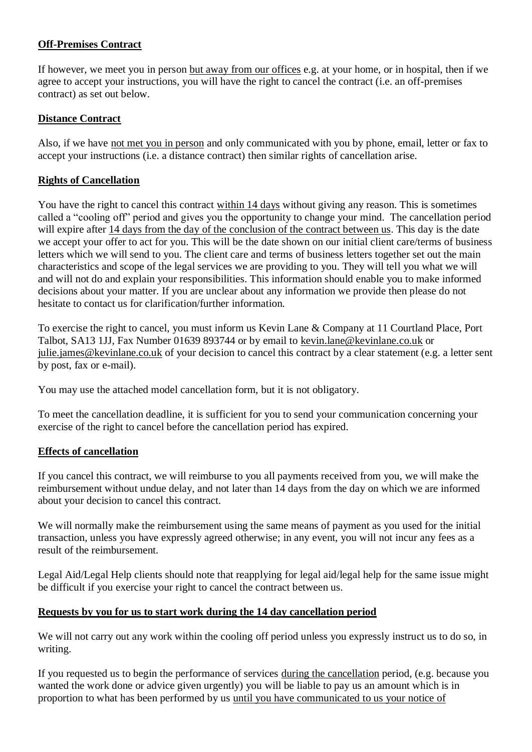## **Off-Premises Contract**

If however, we meet you in person but away from our offices e.g. at your home, or in hospital, then if we agree to accept your instructions, you will have the right to cancel the contract (i.e. an off-premises contract) as set out below.

## **Distance Contract**

Also, if we have not met you in person and only communicated with you by phone, email, letter or fax to accept your instructions (i.e. a distance contract) then similar rights of cancellation arise.

#### **Rights of Cancellation**

You have the right to cancel this contract within 14 days without giving any reason. This is sometimes called a "cooling off" period and gives you the opportunity to change your mind. The cancellation period will expire after 14 days from the day of the conclusion of the contract between us. This day is the date we accept your offer to act for you. This will be the date shown on our initial client care/terms of business letters which we will send to you. The client care and terms of business letters together set out the main characteristics and scope of the legal services we are providing to you. They will tell you what we will and will not do and explain your responsibilities. This information should enable you to make informed decisions about your matter. If you are unclear about any information we provide then please do not hesitate to contact us for clarification/further information.

To exercise the right to cancel, you must inform us Kevin Lane & Company at 11 Courtland Place, Port Talbot, SA13 1JJ, Fax Number 01639 893744 or by email to [kevin.lane@kevinlane.co.uk](mailto:kevin.lane@kevinlane.co.uk) or [julie.james@kevinlane.co.uk](mailto:julie.james@kevinlane.co.uk) of your decision to cancel this contract by a clear statement (e.g. a letter sent by post, fax or e-mail).

You may use the attached model cancellation form, but it is not obligatory.

To meet the cancellation deadline, it is sufficient for you to send your communication concerning your exercise of the right to cancel before the cancellation period has expired.

## **Effects of cancellation**

If you cancel this contract, we will reimburse to you all payments received from you, we will make the reimbursement without undue delay, and not later than 14 days from the day on which we are informed about your decision to cancel this contract.

We will normally make the reimbursement using the same means of payment as you used for the initial transaction, unless you have expressly agreed otherwise; in any event, you will not incur any fees as a result of the reimbursement.

Legal Aid/Legal Help clients should note that reapplying for legal aid/legal help for the same issue might be difficult if you exercise your right to cancel the contract between us.

## **Requests by you for us to start work during the 14 day cancellation period**

We will not carry out any work within the cooling off period unless you expressly instruct us to do so, in writing.

If you requested us to begin the performance of services during the cancellation period, (e.g. because you wanted the work done or advice given urgently) you will be liable to pay us an amount which is in proportion to what has been performed by us until you have communicated to us your notice of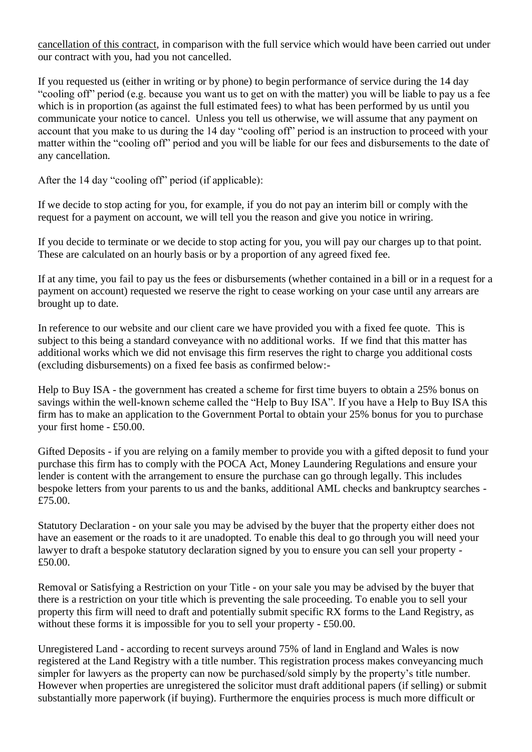cancellation of this contract, in comparison with the full service which would have been carried out under our contract with you, had you not cancelled.

If you requested us (either in writing or by phone) to begin performance of service during the 14 day "cooling off" period (e.g. because you want us to get on with the matter) you will be liable to pay us a fee which is in proportion (as against the full estimated fees) to what has been performed by us until you communicate your notice to cancel. Unless you tell us otherwise, we will assume that any payment on account that you make to us during the 14 day "cooling off" period is an instruction to proceed with your matter within the "cooling off" period and you will be liable for our fees and disbursements to the date of any cancellation.

After the 14 day "cooling off" period (if applicable):

If we decide to stop acting for you, for example, if you do not pay an interim bill or comply with the request for a payment on account, we will tell you the reason and give you notice in wriring.

If you decide to terminate or we decide to stop acting for you, you will pay our charges up to that point. These are calculated on an hourly basis or by a proportion of any agreed fixed fee.

If at any time, you fail to pay us the fees or disbursements (whether contained in a bill or in a request for a payment on account) requested we reserve the right to cease working on your case until any arrears are brought up to date.

In reference to our website and our client care we have provided you with a fixed fee quote. This is subject to this being a standard conveyance with no additional works. If we find that this matter has additional works which we did not envisage this firm reserves the right to charge you additional costs (excluding disbursements) on a fixed fee basis as confirmed below:-

Help to Buy ISA - the government has created a scheme for first time buyers to obtain a 25% bonus on savings within the well-known scheme called the "Help to Buy ISA". If you have a Help to Buy ISA this firm has to make an application to the Government Portal to obtain your 25% bonus for you to purchase your first home - £50.00.

Gifted Deposits - if you are relying on a family member to provide you with a gifted deposit to fund your purchase this firm has to comply with the POCA Act, Money Laundering Regulations and ensure your lender is content with the arrangement to ensure the purchase can go through legally. This includes bespoke letters from your parents to us and the banks, additional AML checks and bankruptcy searches - £75.00.

Statutory Declaration - on your sale you may be advised by the buyer that the property either does not have an easement or the roads to it are unadopted. To enable this deal to go through you will need your lawyer to draft a bespoke statutory declaration signed by you to ensure you can sell your property - £50.00.

Removal or Satisfying a Restriction on your Title - on your sale you may be advised by the buyer that there is a restriction on your title which is preventing the sale proceeding. To enable you to sell your property this firm will need to draft and potentially submit specific RX forms to the Land Registry, as without these forms it is impossible for you to sell your property - £50.00.

Unregistered Land - according to recent surveys around 75% of land in England and Wales is now registered at the Land Registry with a title number. This registration process makes conveyancing much simpler for lawyers as the property can now be purchased/sold simply by the property's title number. However when properties are unregistered the solicitor must draft additional papers (if selling) or submit substantially more paperwork (if buying). Furthermore the enquiries process is much more difficult or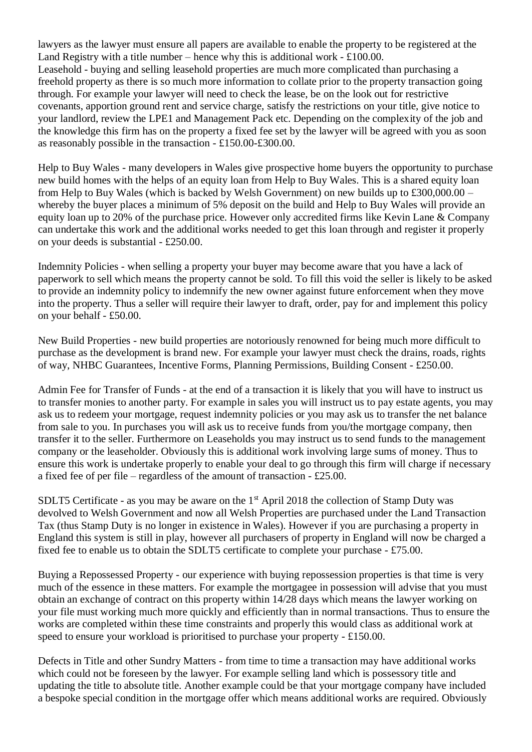lawyers as the lawyer must ensure all papers are available to enable the property to be registered at the Land Registry with a title number – hence why this is additional work -  $\pounds 100.00$ . Leasehold - buying and selling leasehold properties are much more complicated than purchasing a freehold property as there is so much more information to collate prior to the property transaction going through. For example your lawyer will need to check the lease, be on the look out for restrictive covenants, apportion ground rent and service charge, satisfy the restrictions on your title, give notice to your landlord, review the LPE1 and Management Pack etc. Depending on the complexity of the job and the knowledge this firm has on the property a fixed fee set by the lawyer will be agreed with you as soon as reasonably possible in the transaction - £150.00-£300.00.

Help to Buy Wales - many developers in Wales give prospective home buyers the opportunity to purchase new build homes with the helps of an equity loan from Help to Buy Wales. This is a shared equity loan from Help to Buy Wales (which is backed by Welsh Government) on new builds up to £300,000.00 – whereby the buyer places a minimum of 5% deposit on the build and Help to Buy Wales will provide an equity loan up to 20% of the purchase price. However only accredited firms like Kevin Lane & Company can undertake this work and the additional works needed to get this loan through and register it properly on your deeds is substantial - £250.00.

Indemnity Policies - when selling a property your buyer may become aware that you have a lack of paperwork to sell which means the property cannot be sold. To fill this void the seller is likely to be asked to provide an indemnity policy to indemnify the new owner against future enforcement when they move into the property. Thus a seller will require their lawyer to draft, order, pay for and implement this policy on your behalf - £50.00.

New Build Properties - new build properties are notoriously renowned for being much more difficult to purchase as the development is brand new. For example your lawyer must check the drains, roads, rights of way, NHBC Guarantees, Incentive Forms, Planning Permissions, Building Consent - £250.00.

Admin Fee for Transfer of Funds - at the end of a transaction it is likely that you will have to instruct us to transfer monies to another party. For example in sales you will instruct us to pay estate agents, you may ask us to redeem your mortgage, request indemnity policies or you may ask us to transfer the net balance from sale to you. In purchases you will ask us to receive funds from you/the mortgage company, then transfer it to the seller. Furthermore on Leaseholds you may instruct us to send funds to the management company or the leaseholder. Obviously this is additional work involving large sums of money. Thus to ensure this work is undertake properly to enable your deal to go through this firm will charge if necessary a fixed fee of per file – regardless of the amount of transaction - £25.00.

SDLT5 Certificate - as you may be aware on the  $1<sup>st</sup>$  April 2018 the collection of Stamp Duty was devolved to Welsh Government and now all Welsh Properties are purchased under the Land Transaction Tax (thus Stamp Duty is no longer in existence in Wales). However if you are purchasing a property in England this system is still in play, however all purchasers of property in England will now be charged a fixed fee to enable us to obtain the SDLT5 certificate to complete your purchase - £75.00.

Buying a Repossessed Property - our experience with buying repossession properties is that time is very much of the essence in these matters. For example the mortgagee in possession will advise that you must obtain an exchange of contract on this property within 14/28 days which means the lawyer working on your file must working much more quickly and efficiently than in normal transactions. Thus to ensure the works are completed within these time constraints and properly this would class as additional work at speed to ensure your workload is prioritised to purchase your property - £150.00.

Defects in Title and other Sundry Matters - from time to time a transaction may have additional works which could not be foreseen by the lawyer. For example selling land which is possessory title and updating the title to absolute title. Another example could be that your mortgage company have included a bespoke special condition in the mortgage offer which means additional works are required. Obviously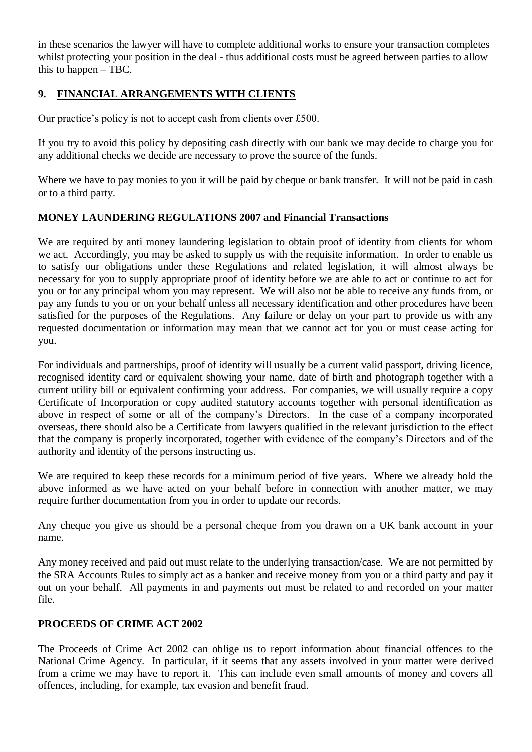in these scenarios the lawyer will have to complete additional works to ensure your transaction completes whilst protecting your position in the deal - thus additional costs must be agreed between parties to allow this to happen – TBC.

## **9. FINANCIAL ARRANGEMENTS WITH CLIENTS**

Our practice's policy is not to accept cash from clients over £500.

If you try to avoid this policy by depositing cash directly with our bank we may decide to charge you for any additional checks we decide are necessary to prove the source of the funds.

Where we have to pay monies to you it will be paid by cheque or bank transfer. It will not be paid in cash or to a third party.

## **MONEY LAUNDERING REGULATIONS 2007 and Financial Transactions**

We are required by anti money laundering legislation to obtain proof of identity from clients for whom we act. Accordingly, you may be asked to supply us with the requisite information. In order to enable us to satisfy our obligations under these Regulations and related legislation, it will almost always be necessary for you to supply appropriate proof of identity before we are able to act or continue to act for you or for any principal whom you may represent. We will also not be able to receive any funds from, or pay any funds to you or on your behalf unless all necessary identification and other procedures have been satisfied for the purposes of the Regulations. Any failure or delay on your part to provide us with any requested documentation or information may mean that we cannot act for you or must cease acting for you.

For individuals and partnerships, proof of identity will usually be a current valid passport, driving licence, recognised identity card or equivalent showing your name, date of birth and photograph together with a current utility bill or equivalent confirming your address. For companies, we will usually require a copy Certificate of Incorporation or copy audited statutory accounts together with personal identification as above in respect of some or all of the company's Directors. In the case of a company incorporated overseas, there should also be a Certificate from lawyers qualified in the relevant jurisdiction to the effect that the company is properly incorporated, together with evidence of the company's Directors and of the authority and identity of the persons instructing us.

We are required to keep these records for a minimum period of five years. Where we already hold the above informed as we have acted on your behalf before in connection with another matter, we may require further documentation from you in order to update our records.

Any cheque you give us should be a personal cheque from you drawn on a UK bank account in your name.

Any money received and paid out must relate to the underlying transaction/case. We are not permitted by the SRA Accounts Rules to simply act as a banker and receive money from you or a third party and pay it out on your behalf. All payments in and payments out must be related to and recorded on your matter file.

## **PROCEEDS OF CRIME ACT 2002**

The Proceeds of Crime Act 2002 can oblige us to report information about financial offences to the National Crime Agency. In particular, if it seems that any assets involved in your matter were derived from a crime we may have to report it. This can include even small amounts of money and covers all offences, including, for example, tax evasion and benefit fraud.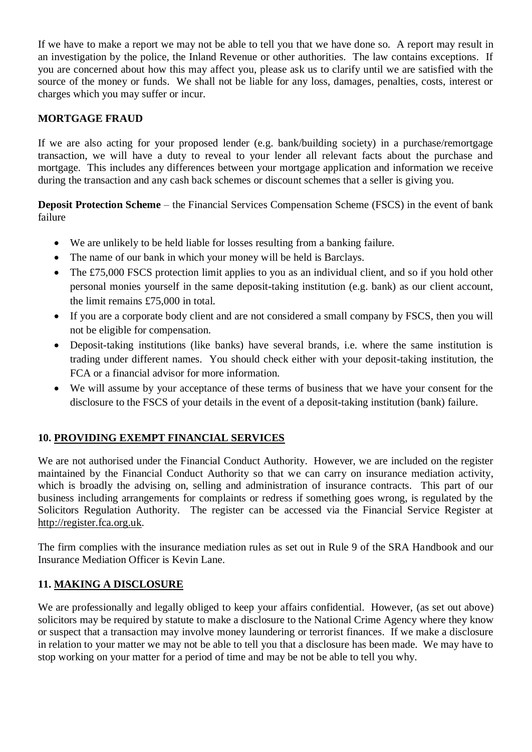If we have to make a report we may not be able to tell you that we have done so. A report may result in an investigation by the police, the Inland Revenue or other authorities. The law contains exceptions. If you are concerned about how this may affect you, please ask us to clarify until we are satisfied with the source of the money or funds. We shall not be liable for any loss, damages, penalties, costs, interest or charges which you may suffer or incur.

## **MORTGAGE FRAUD**

If we are also acting for your proposed lender (e.g. bank/building society) in a purchase/remortgage transaction, we will have a duty to reveal to your lender all relevant facts about the purchase and mortgage. This includes any differences between your mortgage application and information we receive during the transaction and any cash back schemes or discount schemes that a seller is giving you.

**Deposit Protection Scheme** – the Financial Services Compensation Scheme (FSCS) in the event of bank failure

- We are unlikely to be held liable for losses resulting from a banking failure.
- The name of our bank in which your money will be held is Barclays.
- The £75,000 FSCS protection limit applies to you as an individual client, and so if you hold other personal monies yourself in the same deposit-taking institution (e.g. bank) as our client account, the limit remains £75,000 in total.
- If you are a corporate body client and are not considered a small company by FSCS, then you will not be eligible for compensation.
- Deposit-taking institutions (like banks) have several brands, i.e. where the same institution is trading under different names. You should check either with your deposit-taking institution, the FCA or a financial advisor for more information.
- We will assume by your acceptance of these terms of business that we have your consent for the disclosure to the FSCS of your details in the event of a deposit-taking institution (bank) failure.

## **10. PROVIDING EXEMPT FINANCIAL SERVICES**

We are not authorised under the Financial Conduct Authority. However, we are included on the register maintained by the Financial Conduct Authority so that we can carry on insurance mediation activity, which is broadly the advising on, selling and administration of insurance contracts. This part of our business including arrangements for complaints or redress if something goes wrong, is regulated by the Solicitors Regulation Authority. The register can be accessed via the Financial Service Register at [http://register.fca.org.uk.](http://register.fca.org.uk/)

The firm complies with the insurance mediation rules as set out in Rule 9 of the SRA Handbook and our Insurance Mediation Officer is Kevin Lane.

## **11. MAKING A DISCLOSURE**

We are professionally and legally obliged to keep your affairs confidential. However, (as set out above) solicitors may be required by statute to make a disclosure to the National Crime Agency where they know or suspect that a transaction may involve money laundering or terrorist finances. If we make a disclosure in relation to your matter we may not be able to tell you that a disclosure has been made. We may have to stop working on your matter for a period of time and may be not be able to tell you why.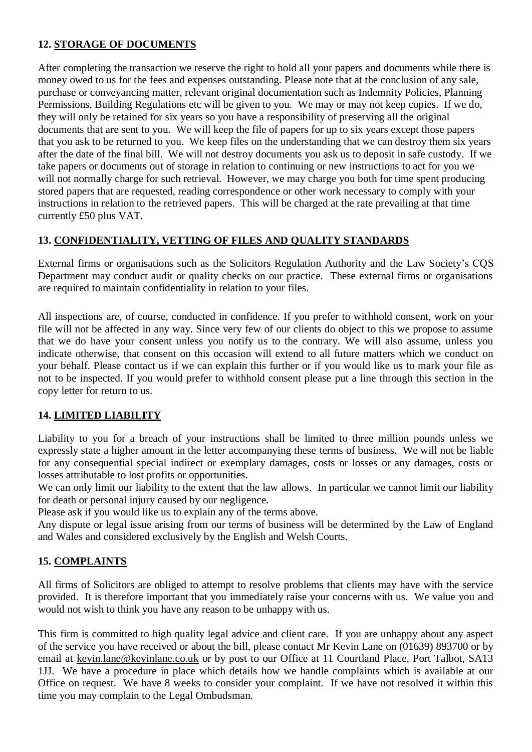## **12. STORAGE OF DOCUMENTS**

After completing the transaction we reserve the right to hold all your papers and documents while there is money owed to us for the fees and expenses outstanding. Please note that at the conclusion of any sale, purchase or conveyancing matter, relevant original documentation such as Indemnity Policies, Planning Permissions, Building Regulations etc will be given to you. We may or may not keep copies. If we do, they will only be retained for six years so you have a responsibility of preserving all the original documents that are sent to you. We will keep the file of papers for up to six years except those papers that you ask to be returned to you. We keep files on the understanding that we can destroy them six years after the date of the final bill. We will not destroy documents you ask us to deposit in safe custody. If we take papers or documents out of storage in relation to continuing or new instructions to act for you we will not normally charge for such retrieval. However, we may charge you both for time spent producing stored papers that are requested, reading correspondence or other work necessary to comply with your instructions in relation to the retrieved papers. This will be charged at the rate prevailing at that time currently £50 plus VAT.

# **13. CONFIDENTIALITY, VETTING OF FILES AND QUALITY STANDARDS**

External firms or organisations such as the Solicitors Regulation Authority and the Law Society's CQS Department may conduct audit or quality checks on our practice. These external firms or organisations are required to maintain confidentiality in relation to your files.

All inspections are, of course, conducted in confidence. If you prefer to withhold consent, work on your file will not be affected in any way. Since very few of our clients do object to this we propose to assume that we do have your consent unless you notify us to the contrary. We will also assume, unless you indicate otherwise, that consent on this occasion will extend to all future matters which we conduct on your behalf. Please contact us if we can explain this further or if you would like us to mark your file as not to be inspected. If you would prefer to withhold consent please put a line through this section in the copy letter for return to us.

# **14. LIMITED LIABILITY**

Liability to you for a breach of your instructions shall be limited to three million pounds unless we expressly state a higher amount in the letter accompanying these terms of business. We will not be liable for any consequential special indirect or exemplary damages, costs or losses or any damages, costs or losses attributable to lost profits or opportunities.

We can only limit our liability to the extent that the law allows. In particular we cannot limit our liability for death or personal injury caused by our negligence.

Please ask if you would like us to explain any of the terms above.

Any dispute or legal issue arising from our terms of business will be determined by the Law of England and Wales and considered exclusively by the English and Welsh Courts.

# **15. COMPLAINTS**

All firms of Solicitors are obliged to attempt to resolve problems that clients may have with the service provided. It is therefore important that you immediately raise your concerns with us. We value you and would not wish to think you have any reason to be unhappy with us.

This firm is committed to high quality legal advice and client care. If you are unhappy about any aspect of the service you have received or about the bill, please contact Mr Kevin Lane on (01639) 893700 or by email at [kevin.lane@kevinlane.co.uk](mailto:kevin.lane@kevinlane.co.uk) or by post to our Office at 11 Courtland Place, Port Talbot, SA13 1JJ. We have a procedure in place which details how we handle complaints which is available at our Office on request. We have 8 weeks to consider your complaint. If we have not resolved it within this time you may complain to the Legal Ombudsman.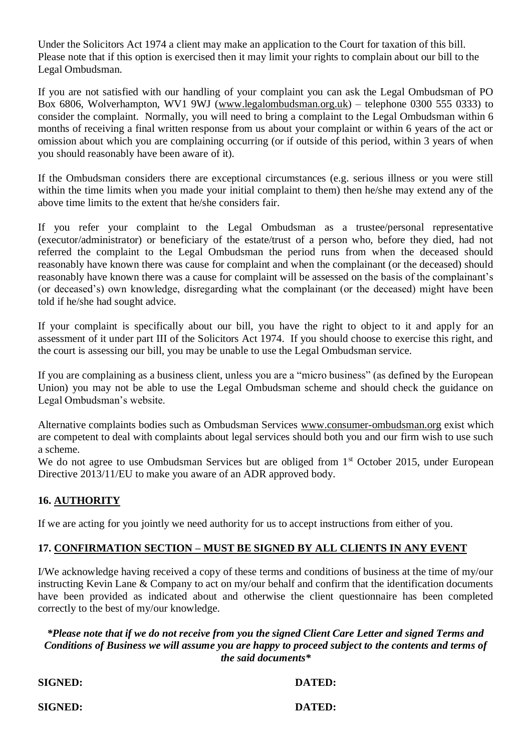Under the Solicitors Act 1974 a client may make an application to the Court for taxation of this bill. Please note that if this option is exercised then it may limit your rights to complain about our bill to the Legal Ombudsman.

If you are not satisfied with our handling of your complaint you can ask the Legal Ombudsman of PO Box 6806, Wolverhampton, WV1 9WJ [\(www.legalombudsman.org.uk\)](http://www.legalombudsman.org.uk/) – telephone 0300 555 0333) to consider the complaint. Normally, you will need to bring a complaint to the Legal Ombudsman within 6 months of receiving a final written response from us about your complaint or within 6 years of the act or omission about which you are complaining occurring (or if outside of this period, within 3 years of when you should reasonably have been aware of it).

If the Ombudsman considers there are exceptional circumstances (e.g. serious illness or you were still within the time limits when you made your initial complaint to them) then he/she may extend any of the above time limits to the extent that he/she considers fair.

If you refer your complaint to the Legal Ombudsman as a trustee/personal representative (executor/administrator) or beneficiary of the estate/trust of a person who, before they died, had not referred the complaint to the Legal Ombudsman the period runs from when the deceased should reasonably have known there was cause for complaint and when the complainant (or the deceased) should reasonably have known there was a cause for complaint will be assessed on the basis of the complainant's (or deceased's) own knowledge, disregarding what the complainant (or the deceased) might have been told if he/she had sought advice.

If your complaint is specifically about our bill, you have the right to object to it and apply for an assessment of it under part III of the Solicitors Act 1974. If you should choose to exercise this right, and the court is assessing our bill, you may be unable to use the Legal Ombudsman service.

If you are complaining as a business client, unless you are a "micro business" (as defined by the European Union) you may not be able to use the Legal Ombudsman scheme and should check the guidance on Legal Ombudsman's website.

Alternative complaints bodies such as Ombudsman Services [www.consumer-ombudsman.org](http://www.consumer-ombudsman.org/) exist which are competent to deal with complaints about legal services should both you and our firm wish to use such a scheme.

We do not agree to use Ombudsman Services but are obliged from  $1<sup>st</sup>$  October 2015, under European Directive 2013/11/EU to make you aware of an ADR approved body.

# **16. AUTHORITY**

If we are acting for you jointly we need authority for us to accept instructions from either of you.

## **17. CONFIRMATION SECTION – MUST BE SIGNED BY ALL CLIENTS IN ANY EVENT**

I/We acknowledge having received a copy of these terms and conditions of business at the time of my/our instructing Kevin Lane & Company to act on my/our behalf and confirm that the identification documents have been provided as indicated about and otherwise the client questionnaire has been completed correctly to the best of my/our knowledge.

## *\*Please note that if we do not receive from you the signed Client Care Letter and signed Terms and Conditions of Business we will assume you are happy to proceed subject to the contents and terms of the said documents\**

**SIGNED: DATED:**

**SIGNED: DATED:**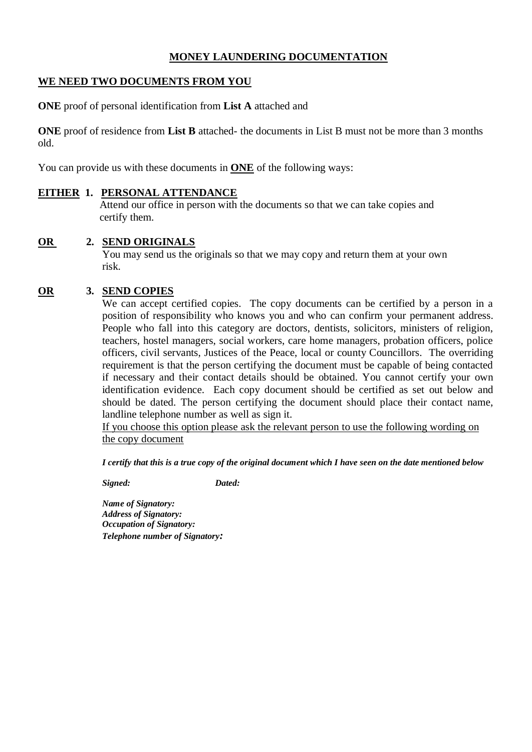## **MONEY LAUNDERING DOCUMENTATION**

#### **WE NEED TWO DOCUMENTS FROM YOU**

**ONE** proof of personal identification from **List A** attached and

**ONE** proof of residence from **List B** attached- the documents in List B must not be more than 3 months old.

You can provide us with these documents in **ONE** of the following ways:

#### **EITHER 1. PERSONAL ATTENDANCE**

 Attend our office in person with the documents so that we can take copies and certify them.

#### **OR 2. SEND ORIGINALS**

 You may send us the originals so that we may copy and return them at your own risk.

#### **OR 3. SEND COPIES**

We can accept certified copies. The copy documents can be certified by a person in a position of responsibility who knows you and who can confirm your permanent address. People who fall into this category are doctors, dentists, solicitors, ministers of religion, teachers, hostel managers, social workers, care home managers, probation officers, police officers, civil servants, Justices of the Peace, local or county Councillors. The overriding requirement is that the person certifying the document must be capable of being contacted if necessary and their contact details should be obtained. You cannot certify your own identification evidence. Each copy document should be certified as set out below and should be dated. The person certifying the document should place their contact name, landline telephone number as well as sign it.

If you choose this option please ask the relevant person to use the following wording on the copy document

*I certify that this is a true copy of the original document which I have seen on the date mentioned below*

*Signed: Dated:*

*Name of Signatory: Address of Signatory: Occupation of Signatory: Telephone number of Signatory:*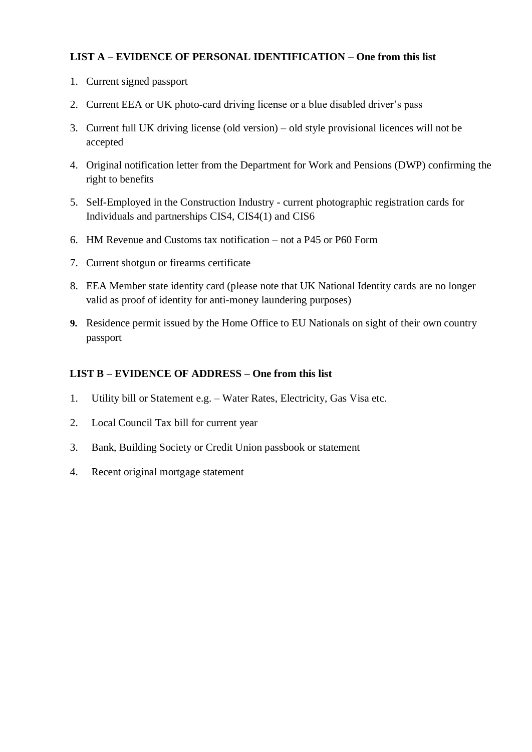# **LIST A – EVIDENCE OF PERSONAL IDENTIFICATION – One from this list**

- 1. Current signed passport
- 2. Current EEA or UK photo-card driving license or a blue disabled driver's pass
- 3. Current full UK driving license (old version) old style provisional licences will not be accepted
- 4. Original notification letter from the Department for Work and Pensions (DWP) confirming the right to benefits
- 5. Self-Employed in the Construction Industry current photographic registration cards for Individuals and partnerships CIS4, CIS4(1) and CIS6
- 6. HM Revenue and Customs tax notification not a P45 or P60 Form
- 7. Current shotgun or firearms certificate
- 8. EEA Member state identity card (please note that UK National Identity cards are no longer valid as proof of identity for anti-money laundering purposes)
- **9.** Residence permit issued by the Home Office to EU Nationals on sight of their own country passport

## **LIST B – EVIDENCE OF ADDRESS – One from this list**

- 1. Utility bill or Statement e.g. Water Rates, Electricity, Gas Visa etc.
- 2. Local Council Tax bill for current year
- 3. Bank, Building Society or Credit Union passbook or statement
- 4. Recent original mortgage statement